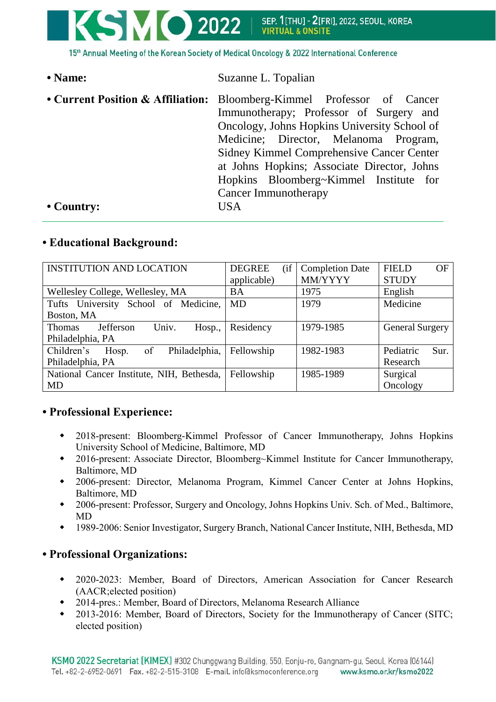

| • Name:    | Suzanne L. Topalian                                                                             |  |  |
|------------|-------------------------------------------------------------------------------------------------|--|--|
|            | • Current Position & Affiliation: Bloomberg-Kimmel Professor of Cancer                          |  |  |
|            | Immunotherapy; Professor of Surgery and                                                         |  |  |
|            | Oncology, Johns Hopkins University School of                                                    |  |  |
|            | Medicine; Director, Melanoma Program,                                                           |  |  |
|            | <b>Sidney Kimmel Comprehensive Cancer Center</b><br>at Johns Hopkins; Associate Director, Johns |  |  |
|            |                                                                                                 |  |  |
|            | Hopkins Bloomberg~Kimmel Institute for                                                          |  |  |
|            | Cancer Immunotherapy                                                                            |  |  |
| • Country: | USA                                                                                             |  |  |

## **• Educational Background:**

| <b>INSTITUTION AND LOCATION</b>               | (i f)<br><b>DEGREE</b> | <b>Completion Date</b> | <b>FIELD</b><br>OF     |
|-----------------------------------------------|------------------------|------------------------|------------------------|
|                                               | applicable)            | MM/YYYY                | <b>STUDY</b>           |
| Wellesley College, Wellesley, MA              | <b>BA</b>              | 1975                   | English                |
| Tufts University School of Medicine,          | MD                     | 1979                   | Medicine               |
| Boston, MA                                    |                        |                        |                        |
| Jefferson<br>Univ.<br>Hosp.,<br><b>Thomas</b> | Residency              | 1979-1985              | <b>General Surgery</b> |
| Philadelphia, PA                              |                        |                        |                        |
| Children's<br>of<br>Philadelphia,<br>Hosp.    | Fellowship             | 1982-1983              | Pediatric<br>Sur.      |
| Philadelphia, PA                              |                        |                        | Research               |
| National Cancer Institute, NIH, Bethesda,     | Fellowship             | 1985-1989              | Surgical               |
| MD                                            |                        |                        | Oncology               |

# **• Professional Experience:**

- 2018-present: Bloomberg-Kimmel Professor of Cancer Immunotherapy, Johns Hopkins University School of Medicine, Baltimore, MD
- 2016-present: Associate Director, Bloomberg~Kimmel Institute for Cancer Immunotherapy, Baltimore, MD
- 2006-present: Director, Melanoma Program, Kimmel Cancer Center at Johns Hopkins, Baltimore, MD
- 2006-present: Professor, Surgery and Oncology, Johns Hopkins Univ. Sch. of Med., Baltimore, MD
- 1989-2006: Senior Investigator, Surgery Branch, National Cancer Institute, NIH, Bethesda, MD

# **• Professional Organizations:**

- 2020-2023: Member, Board of Directors, American Association for Cancer Research (AACR;elected position)
- 2014-pres.: Member, Board of Directors, Melanoma Research Alliance
- 2013-2016: Member, Board of Directors, Society for the Immunotherapy of Cancer (SITC; elected position)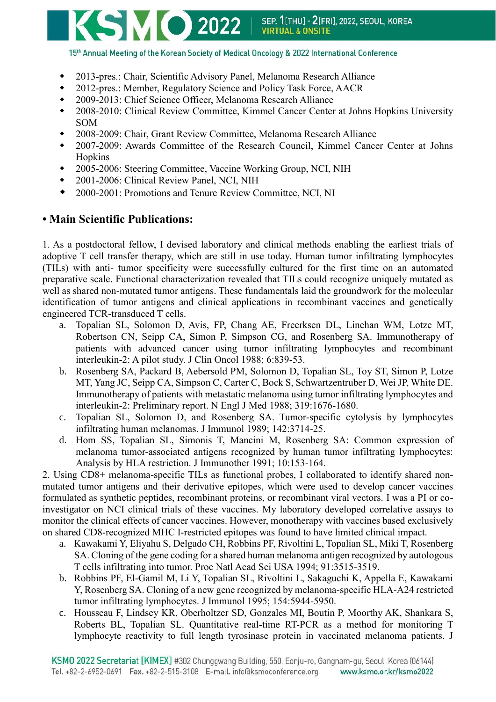

15th Annual Meeting of the Korean Society of Medical Oncology & 2022 International Conference

- 2013-pres.: Chair, Scientific Advisory Panel, Melanoma Research Alliance
- 2012-pres.: Member, Regulatory Science and Policy Task Force, AACR
- 2009-2013: Chief Science Officer, Melanoma Research Alliance
- 2008-2010: Clinical Review Committee, Kimmel Cancer Center at Johns Hopkins University SOM
- 2008-2009: Chair, Grant Review Committee, Melanoma Research Alliance
- 2007-2009: Awards Committee of the Research Council, Kimmel Cancer Center at Johns Hopkins
- 2005-2006: Steering Committee, Vaccine Working Group, NCI, NIH
- 2001-2006: Clinical Review Panel, NCI, NIH
- 2000-2001: Promotions and Tenure Review Committee, NCI, NI

## **• Main Scientific Publications:**

1. As a postdoctoral fellow, I devised laboratory and clinical methods enabling the earliest trials of adoptive T cell transfer therapy, which are still in use today. Human tumor infiltrating lymphocytes (TILs) with anti- tumor specificity were successfully cultured for the first time on an automated preparative scale. Functional characterization revealed that TILs could recognize uniquely mutated as well as shared non-mutated tumor antigens. These fundamentals laid the groundwork for the molecular identification of tumor antigens and clinical applications in recombinant vaccines and genetically engineered TCR-transduced T cells.

- a. Topalian SL, Solomon D, Avis, FP, Chang AE, Freerksen DL, Linehan WM, Lotze MT, Robertson CN, Seipp CA, Simon P, Simpson CG, and Rosenberg SA. Immunotherapy of patients with advanced cancer using tumor infiltrating lymphocytes and recombinant interleukin-2: A pilot study. J Clin Oncol 1988; 6:839-53.
- b. Rosenberg SA, Packard B, Aebersold PM, Solomon D, Topalian SL, Toy ST, Simon P, Lotze MT, Yang JC, Seipp CA, Simpson C, Carter C, Bock S, Schwartzentruber D, Wei JP, White DE. Immunotherapy of patients with metastatic melanoma using tumor infiltrating lymphocytes and interleukin-2: Preliminary report. N Engl J Med 1988; 319:1676-1680.
- c. Topalian SL, Solomon D, and Rosenberg SA. Tumor-specific cytolysis by lymphocytes infiltrating human melanomas. J Immunol 1989; 142:3714-25.
- d. Hom SS, Topalian SL, Simonis T, Mancini M, Rosenberg SA: Common expression of melanoma tumor-associated antigens recognized by human tumor infiltrating lymphocytes: Analysis by HLA restriction. J Immunother 1991; 10:153-164.

2. Using CD8+ melanoma-specific TILs as functional probes, I collaborated to identify shared nonmutated tumor antigens and their derivative epitopes, which were used to develop cancer vaccines formulated as synthetic peptides, recombinant proteins, or recombinant viral vectors. I was a PI or coinvestigator on NCI clinical trials of these vaccines. My laboratory developed correlative assays to monitor the clinical effects of cancer vaccines. However, monotherapy with vaccines based exclusively on shared CD8-recognized MHC I-restricted epitopes was found to have limited clinical impact.

- a. Kawakami Y, Eliyahu S, Delgado CH, Robbins PF, Rivoltini L, Topalian SL, Miki T, Rosenberg SA. Cloning of the gene coding for a shared human melanoma antigen recognized by autologous T cells infiltrating into tumor. Proc Natl Acad Sci USA 1994; 91:3515-3519.
- b. Robbins PF, El-Gamil M, Li Y, Topalian SL, Rivoltini L, Sakaguchi K, Appella E, Kawakami Y, Rosenberg SA. Cloning of a new gene recognized by melanoma-specific HLA-A24 restricted tumor infiltrating lymphocytes. J Immunol 1995; 154:5944-5950.
- c. Housseau F, Lindsey KR, Oberholtzer SD, Gonzales MI, Boutin P, Moorthy AK, Shankara S, Roberts BL, Topalian SL. Quantitative real-time RT-PCR as a method for monitoring T lymphocyte reactivity to full length tyrosinase protein in vaccinated melanoma patients. J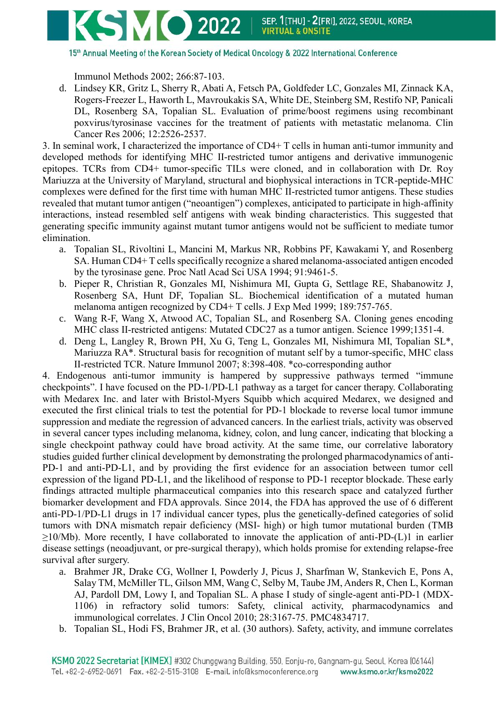

Immunol Methods 2002; 266:87-103.

d. Lindsey KR, Gritz L, Sherry R, Abati A, Fetsch PA, Goldfeder LC, Gonzales MI, Zinnack KA, Rogers-Freezer L, Haworth L, Mavroukakis SA, White DE, Steinberg SM, Restifo NP, Panicali DL, Rosenberg SA, Topalian SL. Evaluation of prime/boost regimens using recombinant poxvirus/tyrosinase vaccines for the treatment of patients with metastatic melanoma. Clin Cancer Res 2006; 12:2526-2537.

3. In seminal work, I characterized the importance of CD4+ T cells in human anti-tumor immunity and developed methods for identifying MHC II-restricted tumor antigens and derivative immunogenic epitopes. TCRs from CD4+ tumor-specific TILs were cloned, and in collaboration with Dr. Roy Mariuzza at the University of Maryland, structural and biophysical interactions in TCR-peptide-MHC complexes were defined for the first time with human MHC II-restricted tumor antigens. These studies revealed that mutant tumor antigen ("neoantigen") complexes, anticipated to participate in high-affinity interactions, instead resembled self antigens with weak binding characteristics. This suggested that generating specific immunity against mutant tumor antigens would not be sufficient to mediate tumor elimination.

- a. Topalian SL, Rivoltini L, Mancini M, Markus NR, Robbins PF, Kawakami Y, and Rosenberg SA. Human CD4+ T cells specifically recognize a shared melanoma-associated antigen encoded by the tyrosinase gene. Proc Natl Acad Sci USA 1994; 91:9461-5.
- b. Pieper R, Christian R, Gonzales MI, Nishimura MI, Gupta G, Settlage RE, Shabanowitz J, Rosenberg SA, Hunt DF, Topalian SL. Biochemical identification of a mutated human melanoma antigen recognized by CD4+ T cells. J Exp Med 1999; 189:757-765.
- c. Wang R-F, Wang X, Atwood AC, Topalian SL, and Rosenberg SA. Cloning genes encoding MHC class II-restricted antigens: Mutated CDC27 as a tumor antigen. Science 1999;1351-4.
- d. Deng L, Langley R, Brown PH, Xu G, Teng L, Gonzales MI, Nishimura MI, Topalian SL\*, Mariuzza RA\*. Structural basis for recognition of mutant self by a tumor-specific, MHC class II-restricted TCR. Nature Immunol 2007; 8:398-408. \*co-corresponding author

4. Endogenous anti-tumor immunity is hampered by suppressive pathways termed "immune checkpoints". I have focused on the PD-1/PD-L1 pathway as a target for cancer therapy. Collaborating with Medarex Inc. and later with Bristol-Myers Squibb which acquired Medarex, we designed and executed the first clinical trials to test the potential for PD-1 blockade to reverse local tumor immune suppression and mediate the regression of advanced cancers. In the earliest trials, activity was observed in several cancer types including melanoma, kidney, colon, and lung cancer, indicating that blocking a single checkpoint pathway could have broad activity. At the same time, our correlative laboratory studies guided further clinical development by demonstrating the prolonged pharmacodynamics of anti-PD-1 and anti-PD-L1, and by providing the first evidence for an association between tumor cell expression of the ligand PD-L1, and the likelihood of response to PD-1 receptor blockade. These early findings attracted multiple pharmaceutical companies into this research space and catalyzed further biomarker development and FDA approvals. Since 2014, the FDA has approved the use of 6 different anti-PD-1/PD-L1 drugs in 17 individual cancer types, plus the genetically-defined categories of solid tumors with DNA mismatch repair deficiency (MSI- high) or high tumor mutational burden (TMB ≥10/Mb). More recently, I have collaborated to innovate the application of anti-PD-(L)1 in earlier disease settings (neoadjuvant, or pre-surgical therapy), which holds promise for extending relapse-free survival after surgery.

- a. Brahmer JR, Drake CG, Wollner I, Powderly J, Picus J, Sharfman W, Stankevich E, Pons A, Salay TM, McMiller TL, Gilson MM, Wang C, Selby M, Taube JM, Anders R, Chen L, Korman AJ, Pardoll DM, Lowy I, and Topalian SL. A phase I study of single-agent anti-PD-1 (MDX-1106) in refractory solid tumors: Safety, clinical activity, pharmacodynamics and immunological correlates. J Clin Oncol 2010; 28:3167-75. PMC4834717.
- b. Topalian SL, Hodi FS, Brahmer JR, et al. (30 authors). Safety, activity, and immune correlates